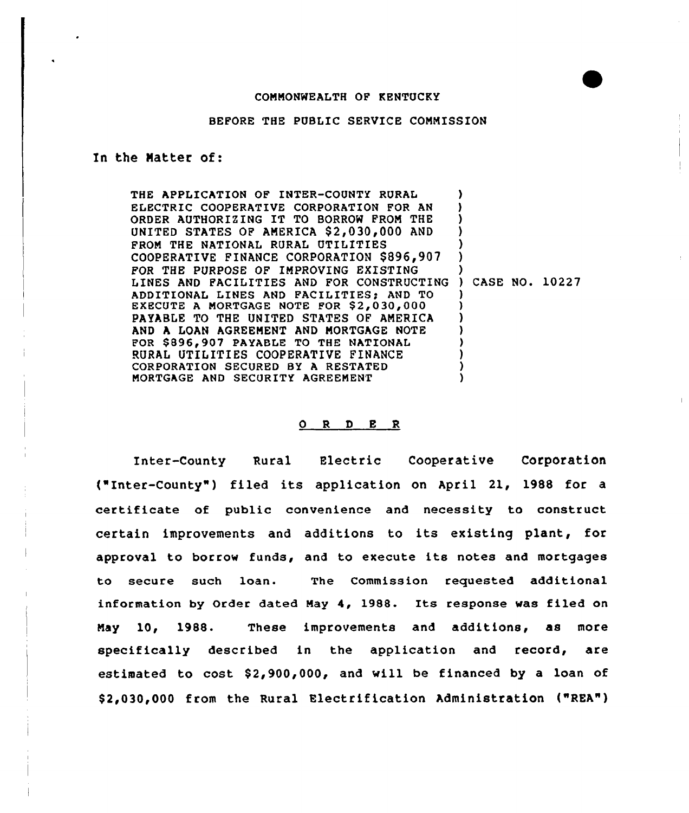## CONNONWEALTH OF KENTUCKY

#### BEFORE THE PUBLIC SERVICE CONMISSION

### In the Matter of:

THE APPLICATION OF INTER-COUNTY RURAL ELECTRIC COOPERATIVE CORPORATION FOR AN ORDER AUTHORIZING IT TO BORROW FROM THE UNITED STATES OF AMERICA \$2,030,000 AND FROM THE NATIONAL RURAL UTILITIES COOPERATIVE FINANCE CORPORATION \$ 896,907 FOR THE PURPOSE OF INPROVING EXISTING LINES AND FACILITIES AND FOR CONSTRUCTIN ADDITIONAL LINES AND FACILITIES) AND TO EXECUTE A MORTGAGE NOTE FOR \$2,030,000 PAYABLE TO THE UNITED STATES OF AMERICA AND A LOAN AGREENENT AND NORTGAGE NOTE FOR \$896,907 PAYABLE TO THE NATIONAL RURAI UTILITIES COOPERATIVE FINANCE CORPORATION SECURED BY <sup>A</sup> RESTATED MORTGAGE AND SECURITY AGREENENT ) ) ) ) ) ) ) ) CASE NO. 10227 ) ) ) ) ) ) ) )

# ORDER

Inter-County Rural Electric Cooperative Corporation f"Inter-County" ) filed its application on April 21, 1988 for <sup>a</sup> certificate of public convenience and necessity to construct certain improvements and additions to its existing plant, for approval to borrow funds, and to execute its notes and mortgages to secure such loan. The Commission requested additional information by Order dated May 4, 1988. Its response was filed on Nay 10, 1988. These improvements and additions, as more specifically described in the application and record, are estimated to  $cost$  \$2,900,000, and will be financed by a loan of \$ 2,030,000 from the Rural Electrification Administration ("REA")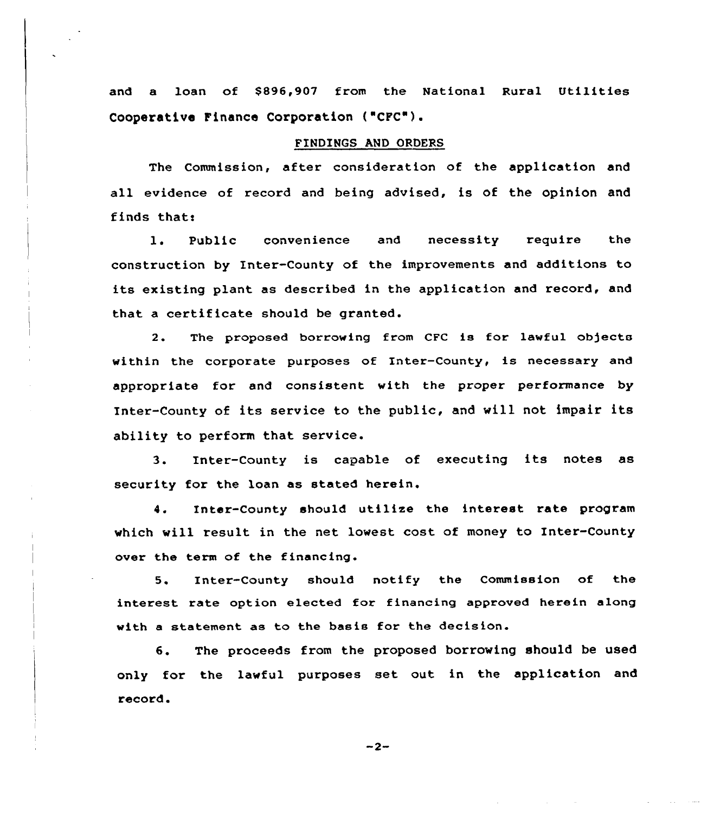and a loan of \$896,907 from the National Rural Utilities Cooperative Pinance Corporation ("CPC").

#### FINDINGS AND ORDERS

The Commission, after consideration of the application and all evidence of record and being advised, is of the opinion and finds that:

1. Public convenience and necessity require the construction by Inter-County of the improvements and additions to its existing plant as described in the application and record, and that a certificate should be granted.

The proposed borrowing from CFC is for lawful objects  $2.$ within the corporate purposes of Inter-County, is necessary and appropriate for and consistent with the proper performance by Inter-County of its service to the public, and will not impair its ability to perform that service.

3. Inter-County is capable of executing its notes as security for the loan as stated herein.

4. Inter-County should utilize the interest rate program which will result in the net lowest cost of money to Inter-County over the term of the financing.

5. Inter-County should notify the Commission of the interest rate option elected for financing approved herein along with a statement as to the basis for the decision.

6. The proceeds from the proposed borrowing should be used only for the lawful purposes set. out in the application and record.

 $-2-$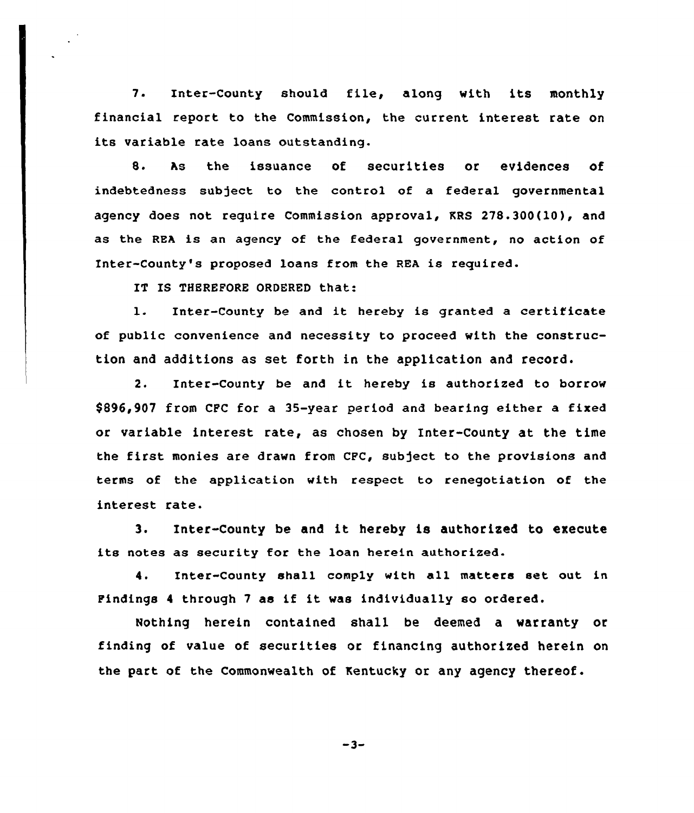7. Inter-county should file, along with its monthly financial report to the Commission, the current interest rate on its variable rate loans outstanding.

8. As the issuance of securities or evidences of indebtedness subject to the control of a federal governmental agency does not require Commission approval, KRS 278.300(10), and as the REA is an agency of the federal government, no action of Inter-County's proposed loans from the REA is required.

IT IS THEREFORE ORDERED that:

l. Inter-County be and it hereby is granted <sup>a</sup> certificate of public convenience and necessity to proceed with the construction and additions as set forth in the application and record.

2. Inter-County be and it hereby is authorized to borrow \$896,907 from CPC for a 35-year period and bearing either a fixed or variable interest rate, as chosen by Inter-County at the time the first monies are drawn from CFC, subject to the provisions and terms of the application with respect to renegotiation of the interest rate.

3. Inter-County be and it hereby is authorised to execute its notes as security for the loan herein authorized.

4. Inter-County shall comply with all matters set out in Findings <sup>4</sup> through <sup>7</sup> as if it was individually so ordered.

Nothing herein contained shall be deemed a warranty or finding of value of securities or financing authorized herein on the part of the Commonwealth of Kentucky or any agency thereof.

$$
-3-
$$